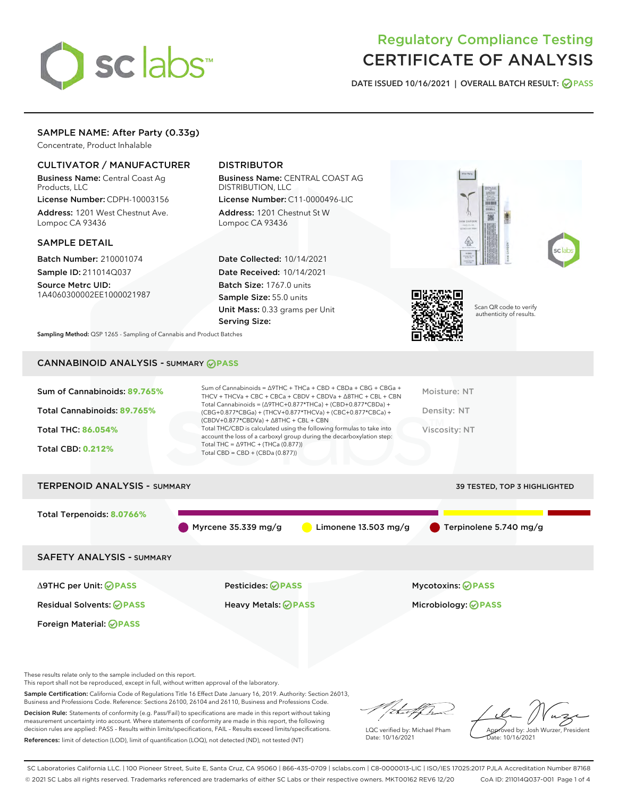

# Regulatory Compliance Testing CERTIFICATE OF ANALYSIS

DATE ISSUED 10/16/2021 | OVERALL BATCH RESULT: @ PASS

# SAMPLE NAME: After Party (0.33g)

Concentrate, Product Inhalable

# CULTIVATOR / MANUFACTURER

Business Name: Central Coast Ag Products, LLC

License Number: CDPH-10003156 Address: 1201 West Chestnut Ave. Lompoc CA 93436

#### SAMPLE DETAIL

Batch Number: 210001074 Sample ID: 211014Q037

Source Metrc UID: 1A4060300002EE1000021987

# DISTRIBUTOR

Business Name: CENTRAL COAST AG DISTRIBUTION, LLC

License Number: C11-0000496-LIC Address: 1201 Chestnut St W Lompoc CA 93436

Date Collected: 10/14/2021 Date Received: 10/14/2021 Batch Size: 1767.0 units Sample Size: 55.0 units Unit Mass: 0.33 grams per Unit Serving Size:







Scan QR code to verify authenticity of results.

Sampling Method: QSP 1265 - Sampling of Cannabis and Product Batches

# CANNABINOID ANALYSIS - SUMMARY **PASS**

| Sum of Cannabinoids: 89.765% | Sum of Cannabinoids = $\triangle$ 9THC + THCa + CBD + CBDa + CBG + CBGa +<br>THCV + THCVa + CBC + CBCa + CBDV + CBDVa + $\Delta$ 8THC + CBL + CBN                                    | Moisture: NT  |
|------------------------------|--------------------------------------------------------------------------------------------------------------------------------------------------------------------------------------|---------------|
| Total Cannabinoids: 89.765%  | Total Cannabinoids = $(\Delta$ 9THC+0.877*THCa) + (CBD+0.877*CBDa) +<br>(CBG+0.877*CBGa) + (THCV+0.877*THCVa) + (CBC+0.877*CBCa) +<br>$(CBDV+0.877*CBDVa) + \Delta 8THC + CBL + CBN$ | Density: NT   |
| <b>Total THC: 86.054%</b>    | Total THC/CBD is calculated using the following formulas to take into<br>account the loss of a carboxyl group during the decarboxylation step:                                       | Viscosity: NT |
| <b>Total CBD: 0.212%</b>     | Total THC = $\triangle$ 9THC + (THCa (0.877))<br>Total CBD = $CBD + (CBDa (0.877))$                                                                                                  |               |
|                              |                                                                                                                                                                                      |               |

# TERPENOID ANALYSIS - SUMMARY 39 TESTED, TOP 3 HIGHLIGHTED Total Terpenoids: **8.0766%** Myrcene 35.339 mg/g  $\bigcirc$  Limonene 13.503 mg/g  $\bigcirc$  Terpinolene 5.740 mg/g SAFETY ANALYSIS - SUMMARY

Foreign Material: **PASS**

Residual Solvents: **PASS** Heavy Metals: **PASS** Microbiology: **PASS**

Δ9THC per Unit: **PASS** Pesticides: **PASS** Mycotoxins: **PASS**

These results relate only to the sample included on this report.

This report shall not be reproduced, except in full, without written approval of the laboratory.

Sample Certification: California Code of Regulations Title 16 Effect Date January 16, 2019. Authority: Section 26013, Business and Professions Code. Reference: Sections 26100, 26104 and 26110, Business and Professions Code.

Decision Rule: Statements of conformity (e.g. Pass/Fail) to specifications are made in this report without taking measurement uncertainty into account. Where statements of conformity are made in this report, the following decision rules are applied: PASS – Results within limits/specifications, FAIL – Results exceed limits/specifications. References: limit of detection (LOD), limit of quantification (LOQ), not detected (ND), not tested (NT)

that for

LQC verified by: Michael Pham Date: 10/16/2021

Approved by: Josh Wurzer, President Date: 10/16/2021

SC Laboratories California LLC. | 100 Pioneer Street, Suite E, Santa Cruz, CA 95060 | 866-435-0709 | sclabs.com | C8-0000013-LIC | ISO/IES 17025:2017 PJLA Accreditation Number 87168 © 2021 SC Labs all rights reserved. Trademarks referenced are trademarks of either SC Labs or their respective owners. MKT00162 REV6 12/20 CoA ID: 211014Q037-001 Page 1 of 4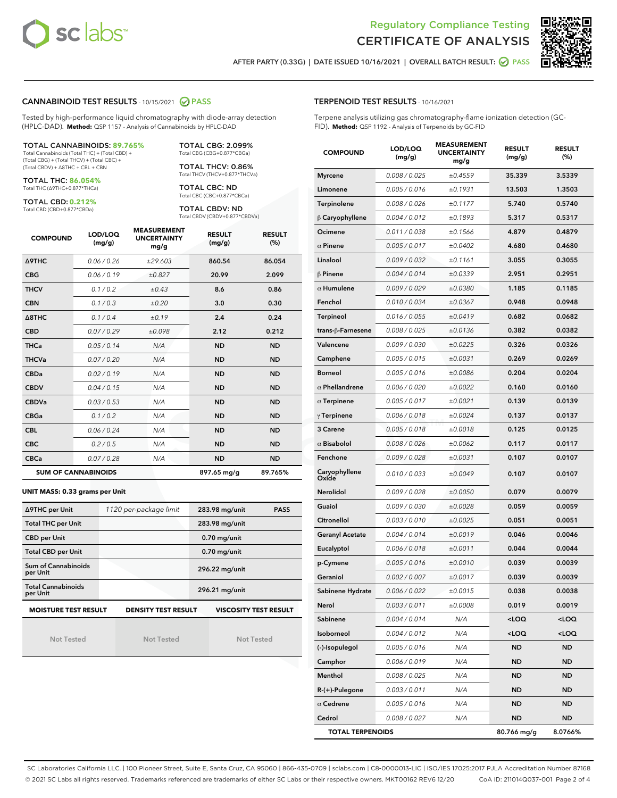



AFTER PARTY (0.33G) | DATE ISSUED 10/16/2021 | OVERALL BATCH RESULT: @ PASS

#### CANNABINOID TEST RESULTS - 10/15/2021 2 PASS

Tested by high-performance liquid chromatography with diode-array detection (HPLC-DAD). **Method:** QSP 1157 - Analysis of Cannabinoids by HPLC-DAD

#### TOTAL CANNABINOIDS: **89.765%**

Total Cannabinoids (Total THC) + (Total CBD) + (Total CBG) + (Total THCV) + (Total CBC) + (Total CBDV) + ∆8THC + CBL + CBN

TOTAL THC: **86.054%** Total THC (∆9THC+0.877\*THCa)

TOTAL CBD: **0.212%**

Total CBD (CBD+0.877\*CBDa)

TOTAL CBG: 2.099% Total CBG (CBG+0.877\*CBGa)

TOTAL THCV: 0.86% Total THCV (THCV+0.877\*THCVa)

TOTAL CBC: ND Total CBC (CBC+0.877\*CBCa)

TOTAL CBDV: ND Total CBDV (CBDV+0.877\*CBDVa)

| <b>COMPOUND</b>            | LOD/LOQ<br>(mg/g) | <b>MEASUREMENT</b><br><b>UNCERTAINTY</b><br>mg/g | <b>RESULT</b><br>(mg/g) | <b>RESULT</b><br>(%) |
|----------------------------|-------------------|--------------------------------------------------|-------------------------|----------------------|
| <b>A9THC</b>               | 0.06 / 0.26       | ±29.603                                          | 860.54                  | 86.054               |
| <b>CBG</b>                 | 0.06/0.19         | ±0.827                                           | 20.99                   | 2.099                |
| <b>THCV</b>                | 0.1 / 0.2         | ±0.43                                            | 8.6                     | 0.86                 |
| <b>CBN</b>                 | 0.1 / 0.3         | ±0.20                                            | 3.0                     | 0.30                 |
| $\triangle$ 8THC           | 0.1 / 0.4         | ±0.19                                            | 2.4                     | 0.24                 |
| <b>CBD</b>                 | 0.07/0.29         | ±0.098                                           | 2.12                    | 0.212                |
| <b>THCa</b>                | 0.05/0.14         | N/A                                              | <b>ND</b>               | <b>ND</b>            |
| <b>THCVa</b>               | 0.07/0.20         | N/A                                              | <b>ND</b>               | <b>ND</b>            |
| <b>CBDa</b>                | 0.02/0.19         | N/A                                              | <b>ND</b>               | <b>ND</b>            |
| <b>CBDV</b>                | 0.04/0.15         | N/A                                              | <b>ND</b>               | <b>ND</b>            |
| <b>CBDVa</b>               | 0.03/0.53         | N/A                                              | <b>ND</b>               | <b>ND</b>            |
| <b>CBGa</b>                | 0.1/0.2           | N/A                                              | <b>ND</b>               | <b>ND</b>            |
| <b>CBL</b>                 | 0.06 / 0.24       | N/A                                              | <b>ND</b>               | <b>ND</b>            |
| <b>CBC</b>                 | 0.2 / 0.5         | N/A                                              | <b>ND</b>               | <b>ND</b>            |
| <b>CBCa</b>                | 0.07 / 0.28       | N/A                                              | <b>ND</b>               | <b>ND</b>            |
| <b>SUM OF CANNABINOIDS</b> |                   |                                                  | 897.65 mg/g             | 89.765%              |

#### **UNIT MASS: 0.33 grams per Unit**

| ∆9THC per Unit                                                                            | 1120 per-package limit | 283.98 mg/unit<br><b>PASS</b> |  |  |  |
|-------------------------------------------------------------------------------------------|------------------------|-------------------------------|--|--|--|
| <b>Total THC per Unit</b>                                                                 |                        | 283.98 mg/unit                |  |  |  |
| <b>CBD per Unit</b>                                                                       |                        | $0.70$ mg/unit                |  |  |  |
| <b>Total CBD per Unit</b>                                                                 |                        | $0.70$ mg/unit                |  |  |  |
| Sum of Cannabinoids<br>per Unit                                                           |                        | 296.22 mg/unit                |  |  |  |
| <b>Total Cannabinoids</b><br>per Unit                                                     |                        | 296.21 mg/unit                |  |  |  |
| <b>MOISTURE TEST RESULT</b><br><b>DENSITY TEST RESULT</b><br><b>VISCOSITY TEST RESULT</b> |                        |                               |  |  |  |

Not Tested

Not Tested

Not Tested

#### TERPENOID TEST RESULTS - 10/16/2021

Terpene analysis utilizing gas chromatography-flame ionization detection (GC-FID). **Method:** QSP 1192 - Analysis of Terpenoids by GC-FID

| <b>COMPOUND</b>         | LOD/LOQ<br>(mg/g) | <b>MEASUREMENT</b><br><b>UNCERTAINTY</b><br>mg/g | <b>RESULT</b><br>(mg/g)                         | <b>RESULT</b><br>(%) |
|-------------------------|-------------------|--------------------------------------------------|-------------------------------------------------|----------------------|
| <b>Myrcene</b>          | 0.008 / 0.025     | ±0.4559                                          | 35.339                                          | 3.5339               |
| Limonene                | 0.005 / 0.016     | ±0.1931                                          | 13.503                                          | 1.3503               |
| Terpinolene             | 0.008 / 0.026     | ±0.1177                                          | 5.740                                           | 0.5740               |
| $\beta$ Caryophyllene   | 0.004 / 0.012     | ±0.1893                                          | 5.317                                           | 0.5317               |
| Ocimene                 | 0.011 / 0.038     | ±0.1566                                          | 4.879                                           | 0.4879               |
| $\alpha$ Pinene         | 0.005 / 0.017     | ±0.0402                                          | 4.680                                           | 0.4680               |
| Linalool                | 0.009 / 0.032     | ±0.1161                                          | 3.055                                           | 0.3055               |
| $\beta$ Pinene          | 0.004 / 0.014     | ±0.0339                                          | 2.951                                           | 0.2951               |
| $\alpha$ Humulene       | 0.009/0.029       | ±0.0380                                          | 1.185                                           | 0.1185               |
| Fenchol                 | 0.010 / 0.034     | ±0.0367                                          | 0.948                                           | 0.0948               |
| Terpineol               | 0.016 / 0.055     | ±0.0419                                          | 0.682                                           | 0.0682               |
| trans-ß-Farnesene       | 0.008 / 0.025     | ±0.0136                                          | 0.382                                           | 0.0382               |
| Valencene               | 0.009 / 0.030     | ±0.0225                                          | 0.326                                           | 0.0326               |
| Camphene                | 0.005 / 0.015     | ±0.0031                                          | 0.269                                           | 0.0269               |
| <b>Borneol</b>          | 0.005 / 0.016     | ±0.0086                                          | 0.204                                           | 0.0204               |
| $\alpha$ Phellandrene   | 0.006 / 0.020     | ±0.0022                                          | 0.160                                           | 0.0160               |
| $\alpha$ Terpinene      | 0.005 / 0.017     | ±0.0021                                          | 0.139                                           | 0.0139               |
| $\gamma$ Terpinene      | 0.006 / 0.018     | ±0.0024                                          | 0.137                                           | 0.0137               |
| 3 Carene                | 0.005 / 0.018     | ±0.0018                                          | 0.125                                           | 0.0125               |
| $\alpha$ Bisabolol      | 0.008 / 0.026     | ±0.0062                                          | 0.117                                           | 0.0117               |
| Fenchone                | 0.009 / 0.028     | ±0.0031                                          | 0.107                                           | 0.0107               |
| Caryophyllene<br>Oxide  | 0.010 / 0.033     | ±0.0049                                          | 0.107                                           | 0.0107               |
| Nerolidol               | 0.009 / 0.028     | ±0.0050                                          | 0.079                                           | 0.0079               |
| Guaiol                  | 0.009 / 0.030     | ±0.0028                                          | 0.059                                           | 0.0059               |
| Citronellol             | 0.003 / 0.010     | ±0.0025                                          | 0.051                                           | 0.0051               |
| <b>Geranyl Acetate</b>  | 0.004 / 0.014     | ±0.0019                                          | 0.046                                           | 0.0046               |
| Eucalyptol              | 0.006 / 0.018     | ±0.0011                                          | 0.044                                           | 0.0044               |
| p-Cymene                | 0.005 / 0.016     | ±0.0010                                          | 0.039                                           | 0.0039               |
| Geraniol                | 0.002 / 0.007     | ±0.0017                                          | 0.039                                           | 0.0039               |
| Sabinene Hydrate        | 0.006 / 0.022     | ±0.0015                                          | 0.038                                           | 0.0038               |
| Nerol                   | 0.003 / 0.011     | ±0.0008                                          | 0.019                                           | 0.0019               |
| Sabinene                | 0.004 / 0.014     | N/A                                              | <loq< th=""><th><loq< th=""></loq<></th></loq<> | <loq< th=""></loq<>  |
| Isoborneol              | 0.004 / 0.012     | N/A                                              | <loq< th=""><th><loq< th=""></loq<></th></loq<> | <loq< th=""></loq<>  |
| (-)-Isopulegol          | 0.005 / 0.016     | N/A                                              | ND                                              | <b>ND</b>            |
| Camphor                 | 0.006 / 0.019     | N/A                                              | ND                                              | ND                   |
| Menthol                 | 0.008 / 0.025     | N/A                                              | ND                                              | <b>ND</b>            |
| R-(+)-Pulegone          | 0.003 / 0.011     | N/A                                              | ND                                              | <b>ND</b>            |
| $\alpha$ Cedrene        | 0.005 / 0.016     | N/A                                              | ND                                              | ND                   |
| Cedrol                  | 0.008 / 0.027     | N/A                                              | <b>ND</b>                                       | <b>ND</b>            |
| <b>TOTAL TERPENOIDS</b> |                   |                                                  | 80.766 mg/g                                     | 8.0766%              |

SC Laboratories California LLC. | 100 Pioneer Street, Suite E, Santa Cruz, CA 95060 | 866-435-0709 | sclabs.com | C8-0000013-LIC | ISO/IES 17025:2017 PJLA Accreditation Number 87168 © 2021 SC Labs all rights reserved. Trademarks referenced are trademarks of either SC Labs or their respective owners. MKT00162 REV6 12/20 CoA ID: 211014Q037-001 Page 2 of 4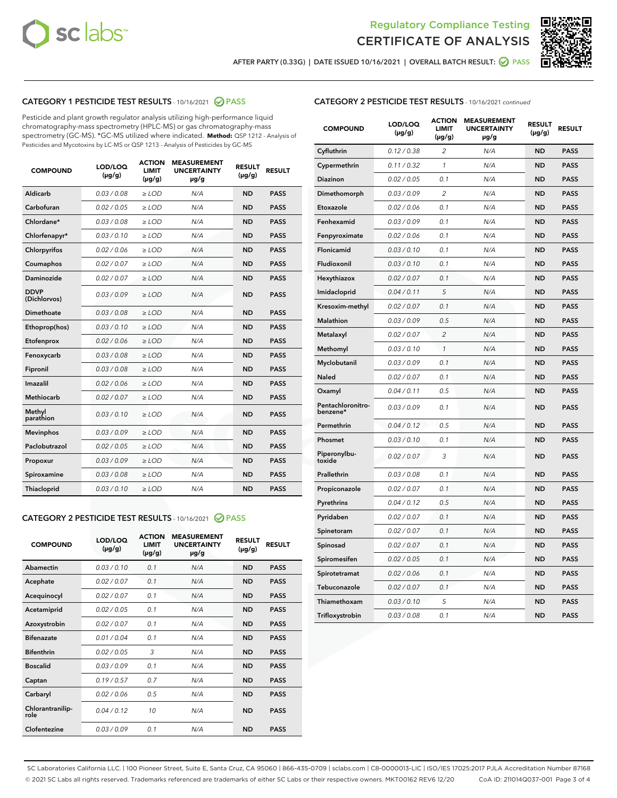



AFTER PARTY (0.33G) | DATE ISSUED 10/16/2021 | OVERALL BATCH RESULT:  $\bigotimes$  PASS

# CATEGORY 1 PESTICIDE TEST RESULTS - 10/16/2021 2 PASS

Pesticide and plant growth regulator analysis utilizing high-performance liquid chromatography-mass spectrometry (HPLC-MS) or gas chromatography-mass spectrometry (GC-MS). \*GC-MS utilized where indicated. **Method:** QSP 1212 - Analysis of Pesticides and Mycotoxins by LC-MS or QSP 1213 - Analysis of Pesticides by GC-MS

| <b>COMPOUND</b>             | LOD/LOQ<br>$(\mu g/g)$ | <b>ACTION</b><br><b>LIMIT</b><br>$(\mu g/g)$ | <b>MEASUREMENT</b><br><b>UNCERTAINTY</b><br>µg/g | <b>RESULT</b><br>$(\mu g/g)$ | <b>RESULT</b> |
|-----------------------------|------------------------|----------------------------------------------|--------------------------------------------------|------------------------------|---------------|
| Aldicarb                    | 0.03 / 0.08            | $\geq$ LOD                                   | N/A                                              | <b>ND</b>                    | <b>PASS</b>   |
| Carbofuran                  | 0.02/0.05              | $>$ LOD                                      | N/A                                              | <b>ND</b>                    | <b>PASS</b>   |
| Chlordane*                  | 0.03 / 0.08            | $\ge$ LOD                                    | N/A                                              | <b>ND</b>                    | <b>PASS</b>   |
| Chlorfenapyr*               | 0.03/0.10              | $>$ LOD                                      | N/A                                              | <b>ND</b>                    | <b>PASS</b>   |
| Chlorpyrifos                | 0.02 / 0.06            | $\ge$ LOD                                    | N/A                                              | <b>ND</b>                    | <b>PASS</b>   |
| Coumaphos                   | 0.02 / 0.07            | $\ge$ LOD                                    | N/A                                              | <b>ND</b>                    | <b>PASS</b>   |
| Daminozide                  | 0.02 / 0.07            | $\ge$ LOD                                    | N/A                                              | <b>ND</b>                    | <b>PASS</b>   |
| <b>DDVP</b><br>(Dichlorvos) | 0.03/0.09              | $\ge$ LOD                                    | N/A                                              | <b>ND</b>                    | <b>PASS</b>   |
| Dimethoate                  | 0.03/0.08              | $>$ LOD                                      | N/A                                              | <b>ND</b>                    | <b>PASS</b>   |
| Ethoprop(hos)               | 0.03/0.10              | $\ge$ LOD                                    | N/A                                              | <b>ND</b>                    | <b>PASS</b>   |
| Etofenprox                  | 0.02 / 0.06            | $\ge$ LOD                                    | N/A                                              | <b>ND</b>                    | <b>PASS</b>   |
| Fenoxycarb                  | 0.03 / 0.08            | $\ge$ LOD                                    | N/A                                              | <b>ND</b>                    | <b>PASS</b>   |
| Fipronil                    | 0.03/0.08              | $>$ LOD                                      | N/A                                              | <b>ND</b>                    | <b>PASS</b>   |
| Imazalil                    | 0.02 / 0.06            | $\ge$ LOD                                    | N/A                                              | <b>ND</b>                    | <b>PASS</b>   |
| <b>Methiocarb</b>           | 0.02 / 0.07            | $\ge$ LOD                                    | N/A                                              | <b>ND</b>                    | <b>PASS</b>   |
| Methyl<br>parathion         | 0.03/0.10              | $\ge$ LOD                                    | N/A                                              | <b>ND</b>                    | <b>PASS</b>   |
| <b>Mevinphos</b>            | 0.03/0.09              | $>$ LOD                                      | N/A                                              | <b>ND</b>                    | <b>PASS</b>   |
| Paclobutrazol               | 0.02 / 0.05            | $\ge$ LOD                                    | N/A                                              | <b>ND</b>                    | <b>PASS</b>   |
| Propoxur                    | 0.03/0.09              | $\ge$ LOD                                    | N/A                                              | <b>ND</b>                    | <b>PASS</b>   |
| Spiroxamine                 | 0.03 / 0.08            | $\ge$ LOD                                    | N/A                                              | <b>ND</b>                    | <b>PASS</b>   |
| Thiacloprid                 | 0.03/0.10              | $\ge$ LOD                                    | N/A                                              | <b>ND</b>                    | <b>PASS</b>   |

#### CATEGORY 2 PESTICIDE TEST RESULTS - 10/16/2021 @ PASS

| <b>COMPOUND</b>          | LOD/LOO<br>$(\mu g/g)$ | <b>ACTION</b><br>LIMIT<br>$(\mu g/g)$ | <b>MEASUREMENT</b><br><b>UNCERTAINTY</b><br>µg/g | <b>RESULT</b><br>$(\mu g/g)$ | <b>RESULT</b> |  |
|--------------------------|------------------------|---------------------------------------|--------------------------------------------------|------------------------------|---------------|--|
| Abamectin                | 0.03/0.10              | 0.1                                   | N/A                                              | <b>ND</b>                    | <b>PASS</b>   |  |
| Acephate                 | 0.02/0.07              | 0.1                                   | N/A                                              | <b>ND</b>                    | <b>PASS</b>   |  |
| Acequinocyl              | 0.02/0.07              | 0.1                                   | N/A                                              | <b>ND</b>                    | <b>PASS</b>   |  |
| Acetamiprid              | 0.02 / 0.05            | 0.1                                   | N/A                                              | <b>ND</b>                    | <b>PASS</b>   |  |
| Azoxystrobin             | 0.02/0.07              | 0.1                                   | N/A                                              | <b>ND</b>                    | <b>PASS</b>   |  |
| <b>Bifenazate</b>        | 0.01 / 0.04            | 0.1                                   | N/A                                              | <b>ND</b>                    | <b>PASS</b>   |  |
| <b>Bifenthrin</b>        | 0.02 / 0.05            | 3                                     | N/A                                              | <b>ND</b>                    | <b>PASS</b>   |  |
| <b>Boscalid</b>          | 0.03/0.09              | 0.1                                   | N/A                                              | <b>ND</b>                    | <b>PASS</b>   |  |
| Captan                   | 0.19/0.57              | 0.7                                   | N/A                                              | <b>ND</b>                    | <b>PASS</b>   |  |
| Carbaryl                 | 0.02/0.06              | 0.5                                   | N/A                                              | <b>ND</b>                    | <b>PASS</b>   |  |
| Chlorantranilip-<br>role | 0.04/0.12              | 10                                    | N/A                                              | <b>ND</b>                    | <b>PASS</b>   |  |
| Clofentezine             | 0.03/0.09              | 0.1                                   | N/A                                              | <b>ND</b>                    | <b>PASS</b>   |  |

# CATEGORY 2 PESTICIDE TEST RESULTS - 10/16/2021 continued

| <b>COMPOUND</b>               | LOD/LOQ<br>(µg/g) | <b>ACTION</b><br><b>LIMIT</b><br>$(\mu g/g)$ | <b>MEASUREMENT</b><br><b>UNCERTAINTY</b><br>µg/g | <b>RESULT</b><br>(µg/g) | <b>RESULT</b> |
|-------------------------------|-------------------|----------------------------------------------|--------------------------------------------------|-------------------------|---------------|
| Cyfluthrin                    | 0.12 / 0.38       | $\overline{c}$                               | N/A                                              | ND                      | <b>PASS</b>   |
| Cypermethrin                  | 0.11 / 0.32       | $\mathcal{I}$                                | N/A                                              | ND                      | <b>PASS</b>   |
| <b>Diazinon</b>               | 0.02 / 0.05       | 0.1                                          | N/A                                              | <b>ND</b>               | <b>PASS</b>   |
| Dimethomorph                  | 0.03 / 0.09       | 2                                            | N/A                                              | ND                      | <b>PASS</b>   |
| Etoxazole                     | 0.02 / 0.06       | 0.1                                          | N/A                                              | ND                      | <b>PASS</b>   |
| Fenhexamid                    | 0.03 / 0.09       | 0.1                                          | N/A                                              | ND                      | <b>PASS</b>   |
| Fenpyroximate                 | 0.02 / 0.06       | 0.1                                          | N/A                                              | <b>ND</b>               | <b>PASS</b>   |
| Flonicamid                    | 0.03 / 0.10       | 0.1                                          | N/A                                              | ND                      | <b>PASS</b>   |
| Fludioxonil                   | 0.03 / 0.10       | 0.1                                          | N/A                                              | ND                      | <b>PASS</b>   |
| Hexythiazox                   | 0.02 / 0.07       | 0.1                                          | N/A                                              | ND                      | <b>PASS</b>   |
| Imidacloprid                  | 0.04 / 0.11       | 5                                            | N/A                                              | ND                      | <b>PASS</b>   |
| Kresoxim-methyl               | 0.02 / 0.07       | 0.1                                          | N/A                                              | ND                      | <b>PASS</b>   |
| Malathion                     | 0.03 / 0.09       | 0.5                                          | N/A                                              | <b>ND</b>               | <b>PASS</b>   |
| Metalaxyl                     | 0.02 / 0.07       | $\overline{c}$                               | N/A                                              | ND                      | <b>PASS</b>   |
| Methomyl                      | 0.03 / 0.10       | 1                                            | N/A                                              | ND                      | <b>PASS</b>   |
| Myclobutanil                  | 0.03 / 0.09       | 0.1                                          | N/A                                              | <b>ND</b>               | <b>PASS</b>   |
| Naled                         | 0.02 / 0.07       | 0.1                                          | N/A                                              | ND                      | <b>PASS</b>   |
| Oxamyl                        | 0.04 / 0.11       | 0.5                                          | N/A                                              | ND                      | <b>PASS</b>   |
| Pentachloronitro-<br>benzene* | 0.03 / 0.09       | 0.1                                          | N/A                                              | ND                      | <b>PASS</b>   |
| Permethrin                    | 0.04 / 0.12       | 0.5                                          | N/A                                              | ND                      | <b>PASS</b>   |
| Phosmet                       | 0.03 / 0.10       | 0.1                                          | N/A                                              | ND                      | <b>PASS</b>   |
| Piperonylbu-<br>toxide        | 0.02 / 0.07       | 3                                            | N/A                                              | ND                      | <b>PASS</b>   |
| Prallethrin                   | 0.03 / 0.08       | 0.1                                          | N/A                                              | ND                      | <b>PASS</b>   |
| Propiconazole                 | 0.02 / 0.07       | 0.1                                          | N/A                                              | ND                      | <b>PASS</b>   |
| Pyrethrins                    | 0.04 / 0.12       | 0.5                                          | N/A                                              | ND                      | <b>PASS</b>   |
| Pyridaben                     | 0.02 / 0.07       | 0.1                                          | N/A                                              | <b>ND</b>               | <b>PASS</b>   |
| Spinetoram                    | 0.02 / 0.07       | 0.1                                          | N/A                                              | ND                      | <b>PASS</b>   |
| Spinosad                      | 0.02 / 0.07       | 0.1                                          | N/A                                              | ND                      | <b>PASS</b>   |
| Spiromesifen                  | 0.02 / 0.05       | 0.1                                          | N/A                                              | <b>ND</b>               | <b>PASS</b>   |
| Spirotetramat                 | 0.02 / 0.06       | 0.1                                          | N/A                                              | ND                      | <b>PASS</b>   |
| Tebuconazole                  | 0.02 / 0.07       | 0.1                                          | N/A                                              | ND                      | <b>PASS</b>   |
| Thiamethoxam                  | 0.03 / 0.10       | 5                                            | N/A                                              | <b>ND</b>               | <b>PASS</b>   |
| Trifloxystrobin               | 0.03 / 0.08       | 0.1                                          | N/A                                              | <b>ND</b>               | <b>PASS</b>   |

SC Laboratories California LLC. | 100 Pioneer Street, Suite E, Santa Cruz, CA 95060 | 866-435-0709 | sclabs.com | C8-0000013-LIC | ISO/IES 17025:2017 PJLA Accreditation Number 87168 © 2021 SC Labs all rights reserved. Trademarks referenced are trademarks of either SC Labs or their respective owners. MKT00162 REV6 12/20 CoA ID: 211014Q037-001 Page 3 of 4